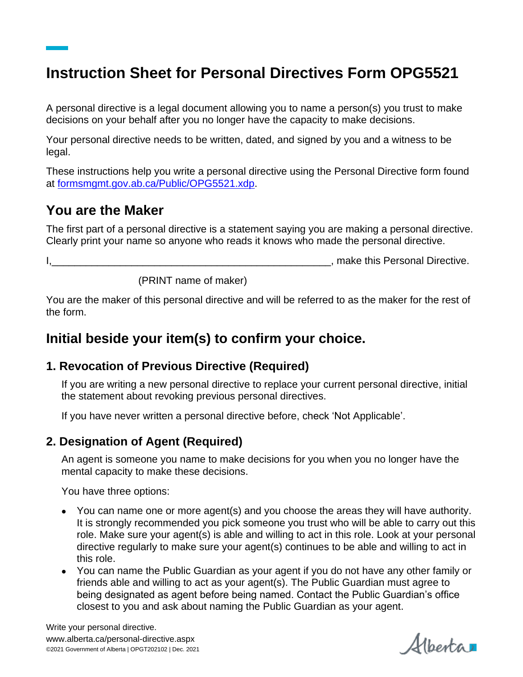# **Instruction Sheet for Personal Directives Form OPG5521**

A personal directive is a legal document allowing you to name a person(s) you trust to make decisions on your behalf after you no longer have the capacity to make decisions.

Your personal directive needs to be written, dated, and signed by you and a witness to be legal.

These instructions help you write a personal directive using the Personal Directive form found at [formsmgmt.gov.ab.ca/Public/OPG5521.xdp.](https://formsmgmt.gov.ab.ca/Public/OPG5521.xdp)

## **You are the Maker**

The first part of a personal directive is a statement saying you are making a personal directive. Clearly print your name so anyone who reads it knows who made the personal directive.

I, Allen and the set of the set of the set of the set of the set of the set of the personal Directive.

(PRINT name of maker)

You are the maker of this personal directive and will be referred to as the maker for the rest of the form.

# **Initial beside your item(s) to confirm your choice.**

#### **1. Revocation of Previous Directive (Required)**

If you are writing a new personal directive to replace your current personal directive, initial the statement about revoking previous personal directives.

If you have never written a personal directive before, check 'Not Applicable'.

#### **2. Designation of Agent (Required)**

An agent is someone you name to make decisions for you when you no longer have the mental capacity to make these decisions.

You have three options:

- You can name one or more agent(s) and you choose the areas they will have authority. It is strongly recommended you pick someone you trust who will be able to carry out this role. Make sure your agent(s) is able and willing to act in this role. Look at your personal directive regularly to make sure your agent(s) continues to be able and willing to act in this role.
- You can name the Public Guardian as your agent if you do not have any other family or friends able and willing to act as your agent(s). The Public Guardian must agree to being designated as agent before being named. Contact the Public Guardian's office closest to you and ask about naming the Public Guardian as your agent.

Albertar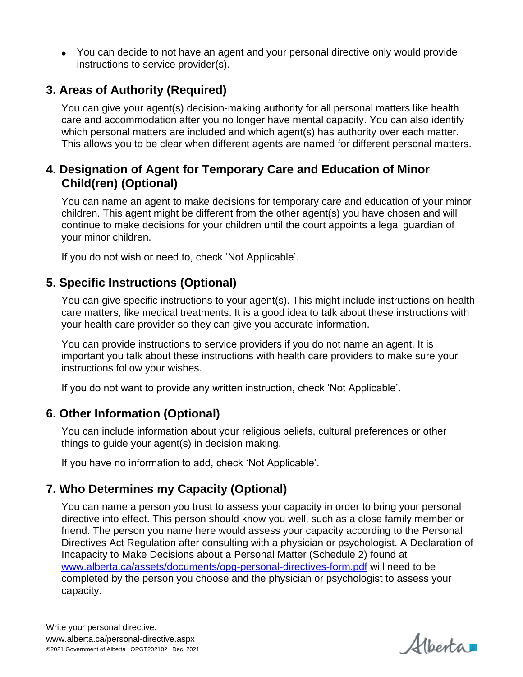You can decide to not have an agent and your personal directive only would provide instructions to service provider(s).

#### **3. Areas of Authority (Required)**

You can give your agent(s) decision-making authority for all personal matters like health care and accommodation after you no longer have mental capacity. You can also identify which personal matters are included and which agent(s) has authority over each matter. This allows you to be clear when different agents are named for different personal matters.

#### **4. Designation of Agent for Temporary Care and Education of Minor Child(ren) (Optional)**

You can name an agent to make decisions for temporary care and education of your minor children. This agent might be different from the other agent(s) you have chosen and will continue to make decisions for your children until the court appoints a legal guardian of your minor children.

If you do not wish or need to, check 'Not Applicable'.

#### **5. Specific Instructions (Optional)**

You can give specific instructions to your agent(s). This might include instructions on health care matters, like medical treatments. It is a good idea to talk about these instructions with your health care provider so they can give you accurate information.

You can provide instructions to service providers if you do not name an agent. It is important you talk about these instructions with health care providers to make sure your instructions follow your wishes.

If you do not want to provide any written instruction, check 'Not Applicable'.

#### **6. Other Information (Optional)**

You can include information about your religious beliefs, cultural preferences or other things to guide your agent(s) in decision making.

If you have no information to add, check 'Not Applicable'.

#### **7. Who Determines my Capacity (Optional)**

You can name a person you trust to assess your capacity in order to bring your personal directive into effect. This person should know you well, such as a close family member or friend. The person you name here would assess your capacity according to the Personal Directives Act Regulation after consulting with a physician or psychologist. A Declaration of Incapacity to Make Decisions about a Personal Matter (Schedule 2) found at [www.alberta.ca/assets/documents/opg-personal-directives-form.pdf](https://www.alberta.ca/assets/documents/opg-personal-directives-form.pdf) will need to be completed by the person you choose and the physician or psychologist to assess your capacity.

Albertar